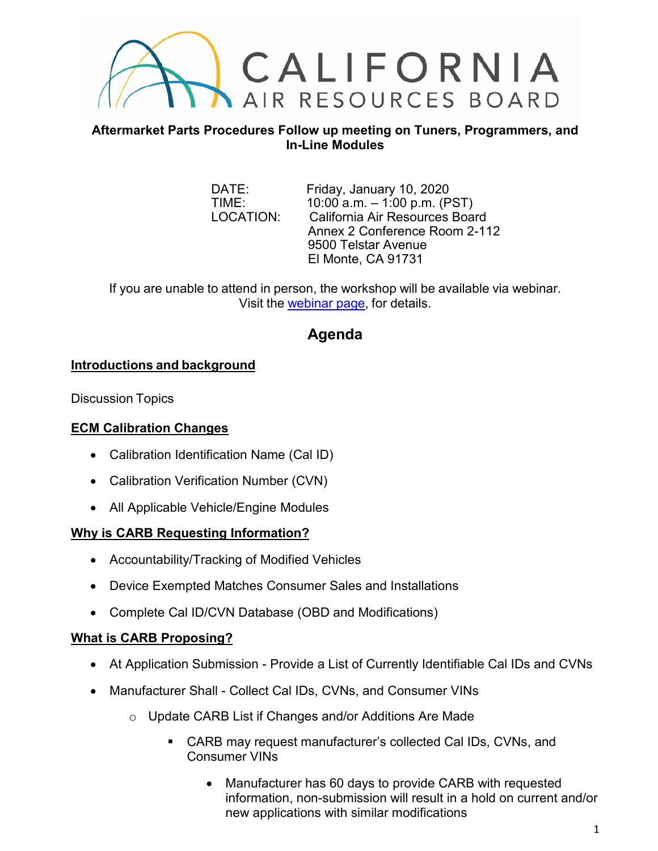

#### **Aftermarket Parts Procedures Follow up meeting on Tuners, Programmers, and In-Line Modules**

DATE: Friday, January 10, 2020<br>TIME: 10:00 a.m. - 1:00 p.m. (P  $10:00$  a.m.  $-1:00$  p.m. (PST) LOCATION: California Air Resources Board Annex 2 Conference Room 2-112 9500 Telstar Avenue El Monte, CA 91731

If you are unable to attend in person, the workshop will be available via webinar. Visit the [webinar page,](https://attendee.gotowebinar.com/register/8758862862439288067) for details.

# **Agenda**

## **Introductions and background**

Discussion Topics

## **ECM Calibration Changes**

- Calibration Identification Name (Cal ID)
- Calibration Verification Number (CVN)
- All Applicable Vehicle/Engine Modules

## **Why is CARB Requesting Information?**

- Accountability/Tracking of Modified Vehicles
- Device Exempted Matches Consumer Sales and Installations
- Complete Cal ID/CVN Database (OBD and Modifications)

## **What is CARB Proposing?**

- At Application Submission Provide a List of Currently Identifiable Cal IDs and CVNs
- Manufacturer Shall Collect Cal IDs, CVNs, and Consumer VINs
	- o Update CARB List if Changes and/or Additions Are Made
		- CARB may request manufacturer's collected Cal IDs, CVNs, and Consumer VINs
			- Manufacturer has 60 days to provide CARB with requested information, non-submission will result in a hold on current and/or new applications with similar modifications